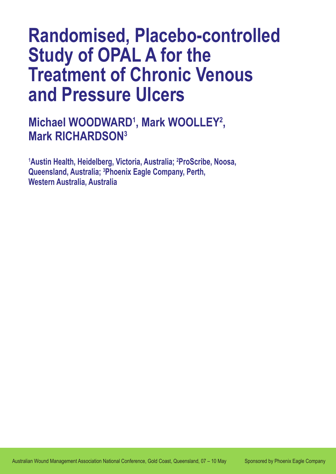# **Randomised, Placebo-controlled Study of OPAL A for the Treatment of Chronic Venous and Pressure Ulcers**

**Michael WOODWARD<sup>1</sup>, Mark WOOLLEY<sup>2</sup>, Mark RICHARDSON3**

**1 Austin Health, Heidelberg, Victoria, Australia; 2 ProScribe, Noosa, Queensland, Australia; 3 Phoenix Eagle Company, Perth, Western Australia, Australia**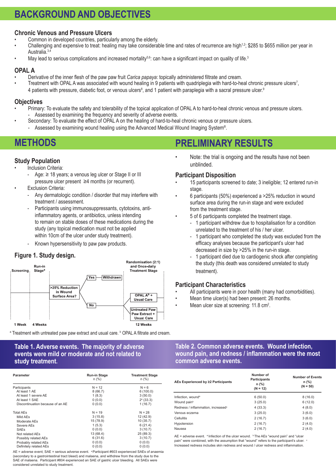### **BACKGROUND AND OBJECTIVES**

#### **Chronic Venous and Pressure Ulcers**

- Common in developed countries, particularly among the elderly.
- Challenging and expensive to treat: healing may take considerable time and rates of recurrence are high<sup>1,2</sup>; \$285 to \$655 million per year in Australia.<sup>3,4</sup>
- May lead to serious complications and increased mortality<sup>5,6</sup>: can have a significant impact on quality of life.<sup>3</sup>

#### **OPAL A**

- Derivative of the inner flesh of the paw paw fruit *Carica papaya*: topically administered filtrate and cream.
- Treatment with OPAL A was associated with wound healing in 9 patients with quadriplegia with hard-to-heal chronic pressure ulcers<sup>7</sup>, 4 patients with pressure, diabetic foot, or venous ulcers<sup>8</sup>, and 1 patient with paraplegia with a sacral pressure ulcer.<sup>9</sup>

#### **Objectives**

- Primary: To evaluate the safety and tolerability of the topical application of OPAL A to hard-to-heal chronic venous and pressure ulcers. Assessed by examining the frequency and severity of adverse events.
- Secondary: To evaluate the effect of OPAL A on the healing of hard-to-heal chronic venous or pressure ulcers.
	- Assessed by examining wound healing using the Advanced Medical Wound Imaging System®.

### **METHODS**

### **Study Population**

- **Inclusion Criteria:** 
	- - Age: ≥ 18 years; a venous leg ulcer or Stage II or III pressure ulcer present ≥4 months (or recurrent).
- **Exclusion Criteria:** 
	- Any dermatologic condition / disorder that may interfere with treatment / assessment.
	- Participants using immunosuppressants, cytotoxins, anti- inflammatory agents, or antibiotics, unless intending to remain on stable doses of these medications during the study (any topical medication must not be applied within 10cm of the ulcer under study treatment).
	- Known hypersensitivity to paw paw products.

#### **Figure 1. Study design.**



<sup>a</sup> Treatment with untreated paw paw extract and usual care. <sup>b</sup> OPAL A filtrate and cream.

#### **Table 1. Adverse events. The majority of adverse events were mild or moderate and not related to study treatment.**

| Parameter                        | Run-in Stage<br>$n$ (%) | <b>Treatment Stage</b><br>$n$ (%) |
|----------------------------------|-------------------------|-----------------------------------|
| Participants                     | $N = 12$                | $N = 6$                           |
| At least 1 AE                    | 8(66.7)                 | 6(100.0)                          |
| At least 1 severe AE             | 1(8.3)                  | 3(50.0)                           |
| At least 1 SAE                   | 0(0.0)                  | $2^a$ (33.3)                      |
| Discontinuation because of an AE | 0(0.0)                  | 1(16.7)                           |
| <b>Total AEs</b>                 | $N = 19$                | $N = 28$                          |
| Mild AEs                         | 3(15.8)                 | 12 (42.9)                         |
| Moderate AEs                     | 15 (78.9)               | 10(35.7)                          |
| Severe AEs                       | 1(5.3)                  | 6(21.4)                           |
| <b>SAEs</b>                      | 0(0.0)                  | 3(10.7)                           |
| Not related AEs                  | 13 (68.4)               | 25 (89.3)                         |
| Possibly related AEs             | 6(31.6)                 | 3(10.7)                           |
| Probably related AEs             | 0(0.0)                  | 0(0.0)                            |
| Definitely related AEs           | 0(0.0)                  | 0(0.0)                            |

AE = adverse event; SAE = serious adverse event. <sup>a</sup> Participant #603 experienced SAEs of anaemia (secondary to a gastrointestinal tract bleed) and malaena, and withdrew from the study due to the SAE of malaena. Participant #804 experienced an SAE of gastric ulcer bleeding. All SAEs were considered unrelated to study treatment.

## **PRELIMINARY RESULTS**

Note: the trial is ongoing and the results have not been unblinded.

#### **Participant Disposition**

- 15 participants screened to date; 3 ineligible; 12 entered run-in stage.
- 6 participants (50%) experienced a  $>25%$  reduction in wound surface area during the run-in stage and were excluded from the treatment stage.
- 5 of 6 participants completed the treatment stage.
	- 1 participant withdrew due to hospitalisation for a condition unrelated to the treatment of his / her ulcer.
		- 1 participant who completed the study was excluded from the efficacy analyses because the participant's ulcer had decreased in size by >25% in the run-in stage.
	- 1 participant died due to cardiogenic shock after completing the study (this death was considered unrelated to study treatment).

#### **Participant Characteristics**

- All participants were in poor health (many had comorbidities).
- Mean time ulcer(s) had been present: 26 months.
- Mean ulcer size at screening: 11.8 cm<sup>2</sup>.

#### **Table 2. Common adverse events. Wound infection, wound pain, and redness / inflammation were the most common adverse events.**

| AEs Experienced by ≥2 Participants             | Number of<br><b>Participants</b><br>$n$ (%)<br>$(N = 12)$ | <b>Number of Events</b><br>$n$ (%)<br>$(N = 50)$ |
|------------------------------------------------|-----------------------------------------------------------|--------------------------------------------------|
| Infection, wound <sup>a</sup>                  | 6(50.0)                                                   | 8(16.0)                                          |
| Wound pain <sup>b</sup>                        | 3(25.0)                                                   | 6(12.0)                                          |
| Redness / inflammation, increased <sup>c</sup> | 4(33.3)                                                   | 4(8.0)                                           |
| Venous eczema                                  | 3(25.0)                                                   | 3(6.0)                                           |
| Cellulitis                                     | 2(16.7)                                                   | 3(6.0)                                           |
| Hypotension                                    | 2(16.7)                                                   | 2(4.0)                                           |
| Nausea                                         | 2(16.7)                                                   | 2(4.0)                                           |

AE = adverse event.  $a$  Infection of the ulcer wound.  $b$  The AEs "wound pain" and "ulcer pain" were combined, with the assumption that "wound" refers to the participant's ulcer. Increased redness includes skin redness and wound / ulcer redness and inflammation.